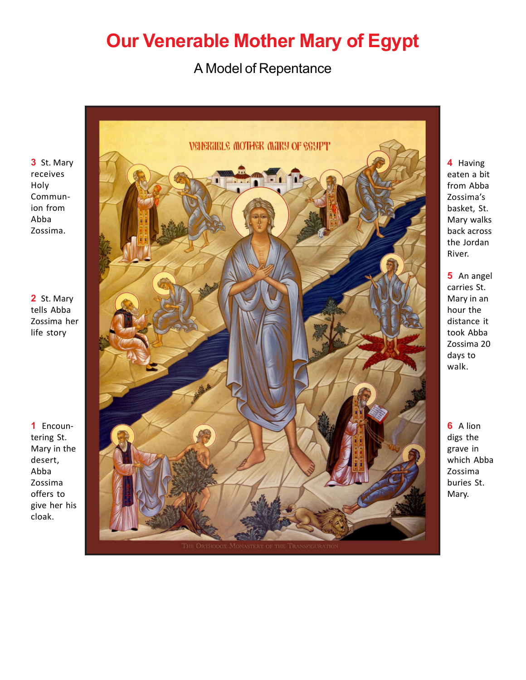## **Our Venerable Mother Mary of Egypt**

## A Model of Repentance

**3** St. Mary receives Holy Communion from Abba Zossima.

**2** St. Mary tells Abba Zossima her life story

**1** Encountering St. Mary in the desert, Abba Zossima offers to give her his cloak.



**4** Having eaten a bit from Abba Zossima's basket, St. Mary walks back across the Jordan River.

**5** An angel carries St. Mary in an hour the distance it took Abba Zossima 20 days to walk.

**6** A lion digs the grave in which Abba Zossima buries St. Mary.